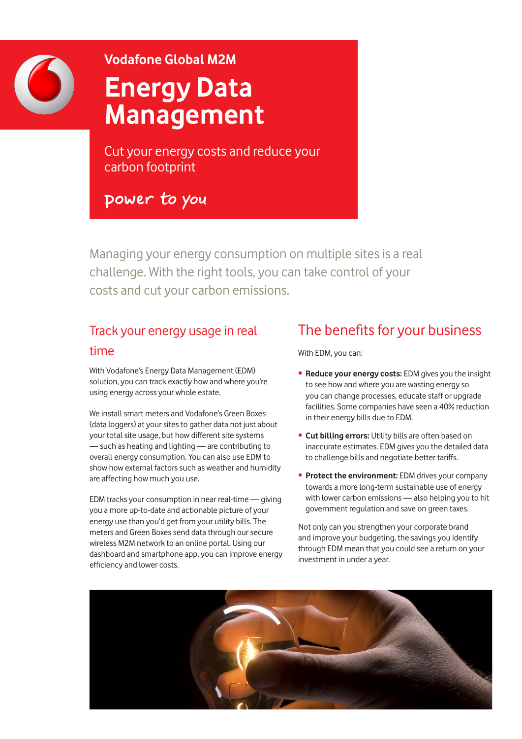

# **Vodafone Global M2M Energy Data Management**

Cut your energy costs and reduce your carbon footprint

power to you

Managing your energy consumption on multiple sites is a real challenge. With the right tools, you can take control of your costs and cut your carbon emissions.

## Track your energy usage in real time

With Vodafone's Energy Data Management (EDM) solution, you can track exactly how and where you're using energy across your whole estate.

We install smart meters and Vodafone's Green Boxes (data loggers) at your sites to gather data not just about your total site usage, but how different site systems — such as heating and lighting — are contributing to overall energy consumption. You can also use EDM to show how external factors such as weather and humidity are affecting how much you use.

EDM tracks your consumption in near real-time — giving you a more up-to-date and actionable picture of your energy use than you'd get from your utility bills. The meters and Green Boxes send data through our secure wireless M2M network to an online portal. Using our dashboard and smartphone app, you can improve energy efficiency and lower costs.

## The benefits for your business

With EDM, you can:

- **Reduce your energy costs:** EDM gives you the insight to see how and where you are wasting energy so you can change processes, educate staff or upgrade facilities. Some companies have seen a 40% reduction in their energy bills due to EDM.
- **Cut billing errors:** Utility bills are often based on inaccurate estimates. EDM gives you the detailed data to challenge bills and negotiate better tariffs.
- **Protect the environment:** EDM drives your company towards a more long-term sustainable use of energy with lower carbon emissions — also helping you to hit government regulation and save on green taxes.

Not only can you strengthen your corporate brand and improve your budgeting, the savings you identify through EDM mean that you could see a return on your investment in under a year.